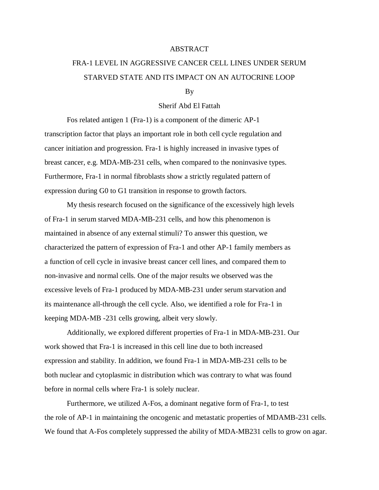## ABSTRACT

## FRA-1 LEVEL IN AGGRESSIVE CANCER CELL LINES UNDER SERUM STARVED STATE AND ITS IMPACT ON AN AUTOCRINE LOOP

## By

## Sherif Abd El Fattah

Fos related antigen 1 (Fra-1) is a component of the dimeric AP-1 transcription factor that plays an important role in both cell cycle regulation and cancer initiation and progression. Fra-1 is highly increased in invasive types of breast cancer, e.g. MDA-MB-231 cells, when compared to the noninvasive types. Furthermore, Fra-1 in normal fibroblasts show a strictly regulated pattern of expression during G0 to G1 transition in response to growth factors.

My thesis research focused on the significance of the excessively high levels of Fra-1 in serum starved MDA-MB-231 cells, and how this phenomenon is maintained in absence of any external stimuli? To answer this question, we characterized the pattern of expression of Fra-1 and other AP-1 family members as a function of cell cycle in invasive breast cancer cell lines, and compared them to non-invasive and normal cells. One of the major results we observed was the excessive levels of Fra-1 produced by MDA-MB-231 under serum starvation and its maintenance all-through the cell cycle. Also, we identified a role for Fra-1 in keeping MDA-MB -231 cells growing, albeit very slowly.

Additionally, we explored different properties of Fra-1 in MDA-MB-231. Our work showed that Fra-1 is increased in this cell line due to both increased expression and stability. In addition, we found Fra-1 in MDA-MB-231 cells to be both nuclear and cytoplasmic in distribution which was contrary to what was found before in normal cells where Fra-1 is solely nuclear.

Furthermore, we utilized A-Fos, a dominant negative form of Fra-1, to test the role of AP-1 in maintaining the oncogenic and metastatic properties of MDAMB-231 cells. We found that A-Fos completely suppressed the ability of MDA-MB231 cells to grow on agar.